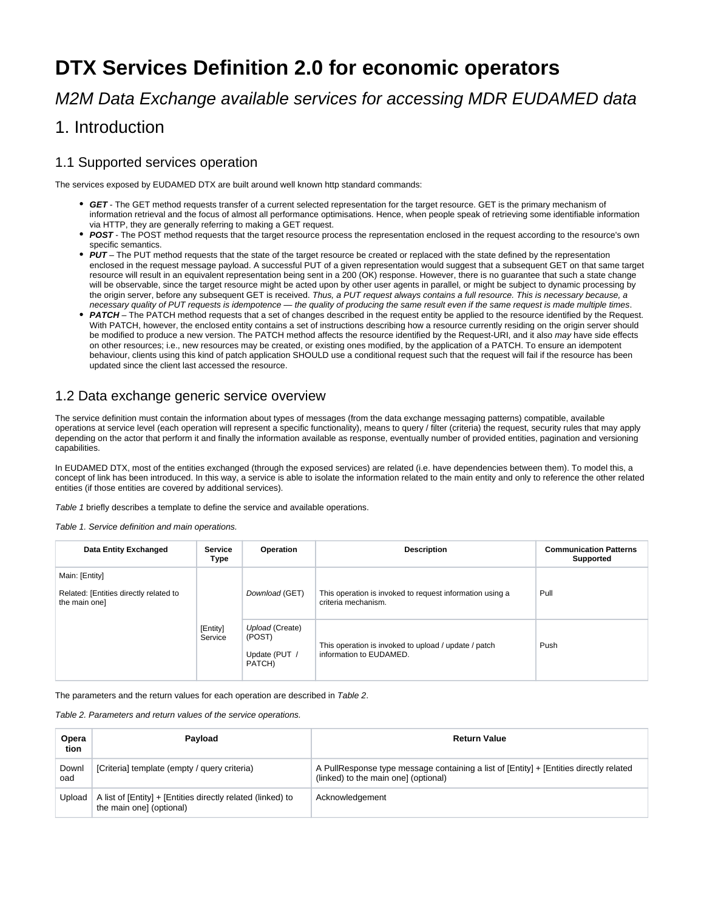# **DTX Services Definition 2.0 for economic operators**

M2M Data Exchange available services for accessing MDR EUDAMED data

## 1. Introduction

#### 1.1 Supported services operation

The services exposed by EUDAMED DTX are built around well known http standard commands:

- **GET** The GET method requests transfer of a current selected representation for the target resource. GET is the primary mechanism of information retrieval and the focus of almost all performance optimisations. Hence, when people speak of retrieving some identifiable information via HTTP, they are generally referring to making a GET request.
- POST The POST method requests that the target resource process the representation enclosed in the request according to the resource's own specific semantics.
- PUT The PUT method requests that the state of the target resource be created or replaced with the state defined by the representation enclosed in the request message payload. A successful PUT of a given representation would suggest that a subsequent GET on that same target resource will result in an equivalent representation being sent in a 200 (OK) response. However, there is no guarantee that such a state change will be observable, since the target resource might be acted upon by other user agents in parallel, or might be subject to dynamic processing by the origin server, before any subsequent GET is received. Thus, a PUT request always contains a full resource. This is necessary because, a necessary quality of PUT requests is idempotence — the quality of producing the same result even if the same request is made multiple times.
- PATCH The PATCH method requests that a set of changes described in the request entity be applied to the resource identified by the Request. With PATCH, however, the enclosed entity contains a set of instructions describing how a resource currently residing on the origin server should be modified to produce a new version. The PATCH method affects the resource identified by the Request-URI, and it also may have side effects on other resources; i.e., new resources may be created, or existing ones modified, by the application of a PATCH. To ensure an idempotent behaviour, clients using this kind of patch application SHOULD use a conditional request such that the request will fail if the resource has been updated since the client last accessed the resource.

#### 1.2 Data exchange generic service overview

The service definition must contain the information about types of messages (from the data exchange messaging patterns) compatible, available operations at service level (each operation will represent a specific functionality), means to query / filter (criteria) the request, security rules that may apply depending on the actor that perform it and finally the information available as response, eventually number of provided entities, pagination and versioning capabilities.

In EUDAMED DTX, most of the entities exchanged (through the exposed services) are related (i.e. have dependencies between them). To model this, a concept of link has been introduced. In this way, a service is able to isolate the information related to the main entity and only to reference the other related entities (if those entities are covered by additional services).

Table 1 briefly describes a template to define the service and available operations.

Table 1. Service definition and main operations.

| Data Entity Exchanged                                                                            | <b>Service</b><br>Type | Operation                                                                       | <b>Description</b>                                                              | <b>Communication Patterns</b><br><b>Supported</b> |
|--------------------------------------------------------------------------------------------------|------------------------|---------------------------------------------------------------------------------|---------------------------------------------------------------------------------|---------------------------------------------------|
| Main: [Entity]<br>Related: [Entities directly related to<br>the main onel<br>[Entity]<br>Service | Download (GET)         | This operation is invoked to request information using a<br>criteria mechanism. | Pull                                                                            |                                                   |
|                                                                                                  |                        | Upload (Create)<br>(POST)<br>Update (PUT /<br>PATCH)                            | This operation is invoked to upload / update / patch<br>information to EUDAMED. | Push                                              |

The parameters and the return values for each operation are described in Table 2.

Table 2. Parameters and return values of the service operations.

| Opera<br>tion | Pavload                                                                                 | <b>Return Value</b>                                                                                                            |
|---------------|-----------------------------------------------------------------------------------------|--------------------------------------------------------------------------------------------------------------------------------|
| Downl<br>oad  | [Criteria] template (empty / query criteria)                                            | A PullResponse type message containing a list of [Entity] + [Entities directly related<br>(linked) to the main one] (optional) |
| Upload        | A list of [Entity] + [Entities directly related (linked) to<br>the main one] (optional) | Acknowledgement                                                                                                                |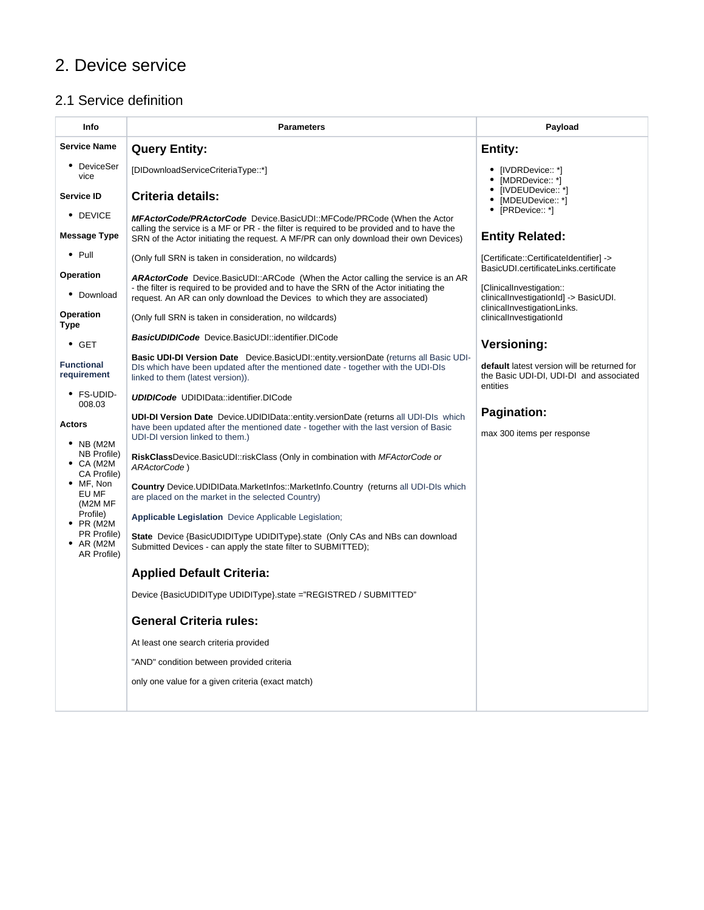# 2. Device service

## 2.1 Service definition

| Info                                            | <b>Parameters</b>                                                                                                                                                                                                                                                | Payload                                                                                            |
|-------------------------------------------------|------------------------------------------------------------------------------------------------------------------------------------------------------------------------------------------------------------------------------------------------------------------|----------------------------------------------------------------------------------------------------|
| <b>Service Name</b>                             | <b>Query Entity:</b>                                                                                                                                                                                                                                             | Entity:                                                                                            |
| • DeviceSer<br>vice                             | [DIDownloadServiceCriteriaType::*]                                                                                                                                                                                                                               | [IVDRDevice:: *]<br>[MDRDevice:: *]                                                                |
| <b>Service ID</b>                               | Criteria details:                                                                                                                                                                                                                                                | • [IVDEUDevice:: *]<br>• [MDEUDevice:: *]                                                          |
| • DEVICE                                        | <b>MFActorCode/PRActorCode</b> Device.BasicUDI::MFCode/PRCode (When the Actor<br>calling the service is a MF or PR - the filter is required to be provided and to have the                                                                                       | • [PRDevice:: *]                                                                                   |
| <b>Message Type</b>                             | SRN of the Actor initiating the request. A MF/PR can only download their own Devices)                                                                                                                                                                            | <b>Entity Related:</b>                                                                             |
| $\bullet$ Pull                                  | (Only full SRN is taken in consideration, no wildcards)                                                                                                                                                                                                          | [Certificate::CertificateIdentifier] -><br>BasicUDI.certificateLinks.certificate                   |
| <b>Operation</b><br>Download                    | <b>ARActorCode</b> Device.BasicUDI::ARCode (When the Actor calling the service is an AR<br>- the filter is required to be provided and to have the SRN of the Actor initiating the<br>request. An AR can only download the Devices to which they are associated) | [ClinicalInvestigation::<br>clinicalInvestigationId] -> BasicUDI.                                  |
| Operation<br><b>Type</b>                        | (Only full SRN is taken in consideration, no wildcards)                                                                                                                                                                                                          | clinicalInvestigationLinks.<br>clinicalInvestigationId                                             |
| $\bullet$ GET                                   | <b>BasicUDIDICode</b> Device.BasicUDI::identifier.DICode                                                                                                                                                                                                         | <b>Versioning:</b>                                                                                 |
| <b>Functional</b><br>requirement                | <b>Basic UDI-DI Version Date</b> Device.BasicUDI::entity.versionDate (returns all Basic UDI-<br>DIs which have been updated after the mentioned date - together with the UDI-DIs<br>linked to them (latest version)).                                            | default latest version will be returned for<br>the Basic UDI-DI, UDI-DI and associated<br>entities |
| • FS-UDID-<br>008.03                            | <b>UDIDICode UDIDIData::identifier.DICode</b>                                                                                                                                                                                                                    |                                                                                                    |
| <b>Actors</b><br>$\bullet$ NB (M2M              | <b>UDI-DI Version Date</b> Device.UDIDIData::entity.versionDate (returns all UDI-DIs which<br>have been updated after the mentioned date - together with the last version of Basic<br>UDI-DI version linked to them.)                                            | <b>Pagination:</b><br>max 300 items per response                                                   |
| NB Profile)<br>$\bullet$ CA (M2M<br>CA Profile) | RiskClassDevice.BasicUDI::riskClass (Only in combination with MFActorCode or<br>ARActorCode)                                                                                                                                                                     |                                                                                                    |
| • MF, Non<br>EU MF<br>(M2M MF                   | <b>Country</b> Device.UDIDIData.MarketInfos::MarketInfo.Country (returns all UDI-DIs which<br>are placed on the market in the selected Country)                                                                                                                  |                                                                                                    |
| Profile)<br>$\bullet$ PR (M2M                   | <b>Applicable Legislation</b> Device Applicable Legislation;                                                                                                                                                                                                     |                                                                                                    |
| PR Profile)<br>$\bullet$ AR (M2M<br>AR Profile) | <b>State</b> Device {BasicUDIDIType UDIDIType} state (Only CAs and NBs can download<br>Submitted Devices - can apply the state filter to SUBMITTED);                                                                                                             |                                                                                                    |
|                                                 | <b>Applied Default Criteria:</b>                                                                                                                                                                                                                                 |                                                                                                    |
|                                                 | Device {BasicUDIDIType UDIDIType}.state ="REGISTRED / SUBMITTED"                                                                                                                                                                                                 |                                                                                                    |
|                                                 | <b>General Criteria rules:</b>                                                                                                                                                                                                                                   |                                                                                                    |
|                                                 | At least one search criteria provided                                                                                                                                                                                                                            |                                                                                                    |
|                                                 | "AND" condition between provided criteria                                                                                                                                                                                                                        |                                                                                                    |
|                                                 | only one value for a given criteria (exact match)                                                                                                                                                                                                                |                                                                                                    |
|                                                 |                                                                                                                                                                                                                                                                  |                                                                                                    |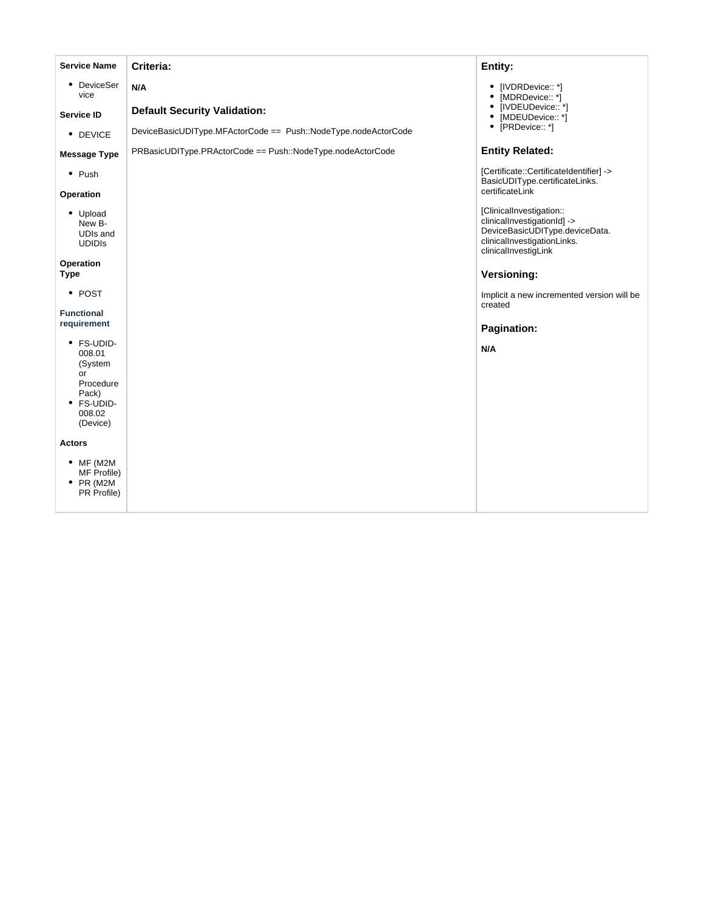| <b>Service Name</b>                                                                             | Criteria:                                                      | Entity:                                                                                                                                          |
|-------------------------------------------------------------------------------------------------|----------------------------------------------------------------|--------------------------------------------------------------------------------------------------------------------------------------------------|
| • DeviceSer<br>vice                                                                             | N/A                                                            | • [IVDRDevice:: *]<br>• [MDRDevice:: *]                                                                                                          |
| Service ID                                                                                      | <b>Default Security Validation:</b>                            | • [IVDEUDevice:: *]<br>• [MDEUDevice:: *]                                                                                                        |
| • DEVICE                                                                                        | DeviceBasicUDIType.MFActorCode == Push::NodeType.nodeActorCode | • [PRDevice:: *]                                                                                                                                 |
| <b>Message Type</b>                                                                             | PRBasicUDIType.PRActorCode == Push::NodeType.nodeActorCode     | <b>Entity Related:</b>                                                                                                                           |
| $\bullet$ Push<br>Operation                                                                     |                                                                | [Certificate::CertificateIdentifier] -><br>BasicUDIType.certificateLinks.<br>certificateLink                                                     |
| • Upload<br>New B-<br>UDIs and<br><b>UDIDIS</b>                                                 |                                                                | [ClinicalInvestigation::<br>clinicalInvestigationId] -><br>DeviceBasicUDIType.deviceData.<br>clinicalInvestigationLinks.<br>clinicalInvestigLink |
| Operation<br><b>Type</b>                                                                        |                                                                | Versioning:                                                                                                                                      |
| • POST                                                                                          |                                                                | Implicit a new incremented version will be<br>created                                                                                            |
| <b>Functional</b><br>requirement                                                                |                                                                | Pagination:                                                                                                                                      |
| • FS-UDID-<br>008.01<br>(System<br>or<br>Procedure<br>Pack)<br>• FS-UDID-<br>008.02<br>(Device) |                                                                | N/A                                                                                                                                              |
| Actors                                                                                          |                                                                |                                                                                                                                                  |
| $•$ MF (M2M<br>MF Profile)<br>$\bullet$ PR (M2M<br>PR Profile)                                  |                                                                |                                                                                                                                                  |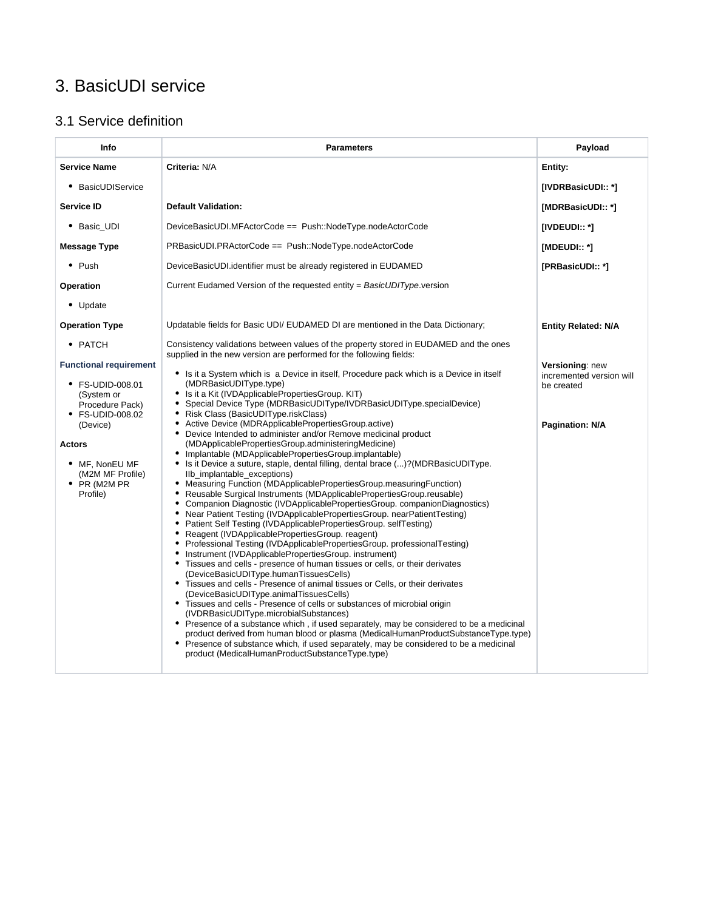# 3. BasicUDI service

### 3.1 Service definition

| Info                                                                                                                                                                                                          | <b>Parameters</b>                                                                                                                                                                                                                                                                                                                                                                                                                                                                                                                                                                                                                                                                                                                                                                                                                                                                                                                                                                                                                                                                                                                                                                                                                                                                                                                                                                                                                                                                                                                                                                                                                                                                                                                                                                                                                                                                                                                                            | Payload                                                                      |
|---------------------------------------------------------------------------------------------------------------------------------------------------------------------------------------------------------------|--------------------------------------------------------------------------------------------------------------------------------------------------------------------------------------------------------------------------------------------------------------------------------------------------------------------------------------------------------------------------------------------------------------------------------------------------------------------------------------------------------------------------------------------------------------------------------------------------------------------------------------------------------------------------------------------------------------------------------------------------------------------------------------------------------------------------------------------------------------------------------------------------------------------------------------------------------------------------------------------------------------------------------------------------------------------------------------------------------------------------------------------------------------------------------------------------------------------------------------------------------------------------------------------------------------------------------------------------------------------------------------------------------------------------------------------------------------------------------------------------------------------------------------------------------------------------------------------------------------------------------------------------------------------------------------------------------------------------------------------------------------------------------------------------------------------------------------------------------------------------------------------------------------------------------------------------------------|------------------------------------------------------------------------------|
| <b>Service Name</b>                                                                                                                                                                                           | Criteria: N/A                                                                                                                                                                                                                                                                                                                                                                                                                                                                                                                                                                                                                                                                                                                                                                                                                                                                                                                                                                                                                                                                                                                                                                                                                                                                                                                                                                                                                                                                                                                                                                                                                                                                                                                                                                                                                                                                                                                                                | Entity:                                                                      |
| • BasicUDIService                                                                                                                                                                                             |                                                                                                                                                                                                                                                                                                                                                                                                                                                                                                                                                                                                                                                                                                                                                                                                                                                                                                                                                                                                                                                                                                                                                                                                                                                                                                                                                                                                                                                                                                                                                                                                                                                                                                                                                                                                                                                                                                                                                              | [IVDRBasicUDI:: *]                                                           |
| <b>Service ID</b>                                                                                                                                                                                             | <b>Default Validation:</b>                                                                                                                                                                                                                                                                                                                                                                                                                                                                                                                                                                                                                                                                                                                                                                                                                                                                                                                                                                                                                                                                                                                                                                                                                                                                                                                                                                                                                                                                                                                                                                                                                                                                                                                                                                                                                                                                                                                                   | [MDRBasicUDI:: *]                                                            |
| • Basic_UDI                                                                                                                                                                                                   | DeviceBasicUDI.MFActorCode == Push::NodeType.nodeActorCode                                                                                                                                                                                                                                                                                                                                                                                                                                                                                                                                                                                                                                                                                                                                                                                                                                                                                                                                                                                                                                                                                                                                                                                                                                                                                                                                                                                                                                                                                                                                                                                                                                                                                                                                                                                                                                                                                                   | [IVDEUDI:: *]                                                                |
| Message Type                                                                                                                                                                                                  | PRBasicUDI.PRActorCode == Push::NodeType.nodeActorCode                                                                                                                                                                                                                                                                                                                                                                                                                                                                                                                                                                                                                                                                                                                                                                                                                                                                                                                                                                                                                                                                                                                                                                                                                                                                                                                                                                                                                                                                                                                                                                                                                                                                                                                                                                                                                                                                                                       | $[MDEUD]::$ $^*]$                                                            |
| $\bullet$ Push                                                                                                                                                                                                | DeviceBasicUDI.identifier must be already registered in EUDAMED                                                                                                                                                                                                                                                                                                                                                                                                                                                                                                                                                                                                                                                                                                                                                                                                                                                                                                                                                                                                                                                                                                                                                                                                                                                                                                                                                                                                                                                                                                                                                                                                                                                                                                                                                                                                                                                                                              | [PRBasicUDI:: *]                                                             |
| Operation                                                                                                                                                                                                     | Current Eudamed Version of the requested entity = BasicUDIType.version                                                                                                                                                                                                                                                                                                                                                                                                                                                                                                                                                                                                                                                                                                                                                                                                                                                                                                                                                                                                                                                                                                                                                                                                                                                                                                                                                                                                                                                                                                                                                                                                                                                                                                                                                                                                                                                                                       |                                                                              |
| • Update                                                                                                                                                                                                      |                                                                                                                                                                                                                                                                                                                                                                                                                                                                                                                                                                                                                                                                                                                                                                                                                                                                                                                                                                                                                                                                                                                                                                                                                                                                                                                                                                                                                                                                                                                                                                                                                                                                                                                                                                                                                                                                                                                                                              |                                                                              |
| <b>Operation Type</b>                                                                                                                                                                                         | Updatable fields for Basic UDI/ EUDAMED DI are mentioned in the Data Dictionary;                                                                                                                                                                                                                                                                                                                                                                                                                                                                                                                                                                                                                                                                                                                                                                                                                                                                                                                                                                                                                                                                                                                                                                                                                                                                                                                                                                                                                                                                                                                                                                                                                                                                                                                                                                                                                                                                             | <b>Entity Related: N/A</b>                                                   |
| • PATCH                                                                                                                                                                                                       | Consistency validations between values of the property stored in EUDAMED and the ones<br>supplied in the new version are performed for the following fields:                                                                                                                                                                                                                                                                                                                                                                                                                                                                                                                                                                                                                                                                                                                                                                                                                                                                                                                                                                                                                                                                                                                                                                                                                                                                                                                                                                                                                                                                                                                                                                                                                                                                                                                                                                                                 |                                                                              |
| <b>Functional requirement</b><br>• FS-UDID-008.01<br>(System or<br>Procedure Pack)<br>• FS-UDID-008.02<br>(Device)<br><b>Actors</b><br>• MF, NonEU MF<br>(M2M MF Profile)<br>$\bullet$ PR (M2M PR<br>Profile) | • Is it a System which is a Device in itself, Procedure pack which is a Device in itself<br>(MDRBasicUDIType.type)<br>• Is it a Kit (IVDApplicablePropertiesGroup. KIT)<br>• Special Device Type (MDRBasicUDIType/IVDRBasicUDIType.specialDevice)<br>• Risk Class (BasicUDIType.riskClass)<br>• Active Device (MDRApplicablePropertiesGroup.active)<br>• Device Intended to administer and/or Remove medicinal product<br>(MDApplicablePropertiesGroup.administeringMedicine)<br>• Implantable (MDApplicablePropertiesGroup.implantable)<br>• Is it Device a suture, staple, dental filling, dental brace ()? (MDRBasicUDIType.<br>Ilb_implantable_exceptions)<br>• Measuring Function (MDApplicablePropertiesGroup.measuringFunction)<br>• Reusable Surgical Instruments (MDApplicablePropertiesGroup.reusable)<br>• Companion Diagnostic (IVDApplicablePropertiesGroup. companionDiagnostics)<br>• Near Patient Testing (IVDApplicablePropertiesGroup. nearPatientTesting)<br>• Patient Self Testing (IVDApplicablePropertiesGroup. selfTesting)<br>• Reagent (IVDApplicablePropertiesGroup. reagent)<br>• Professional Testing (IVDApplicablePropertiesGroup. professionalTesting)<br>• Instrument (IVDApplicablePropertiesGroup. instrument)<br>• Tissues and cells - presence of human tissues or cells, or their derivates<br>(DeviceBasicUDIType.humanTissuesCells)<br>• Tissues and cells - Presence of animal tissues or Cells, or their derivates<br>(DeviceBasicUDIType.animalTissuesCells)<br>• Tissues and cells - Presence of cells or substances of microbial origin<br>(IVDRBasicUDIType.microbialSubstances)<br>• Presence of a substance which, if used separately, may be considered to be a medicinal<br>product derived from human blood or plasma (MedicalHumanProductSubstanceType.type)<br>• Presence of substance which, if used separately, may be considered to be a medicinal<br>product (MedicalHumanProductSubstanceType.type) | Versioning: new<br>incremented version will<br>be created<br>Pagination: N/A |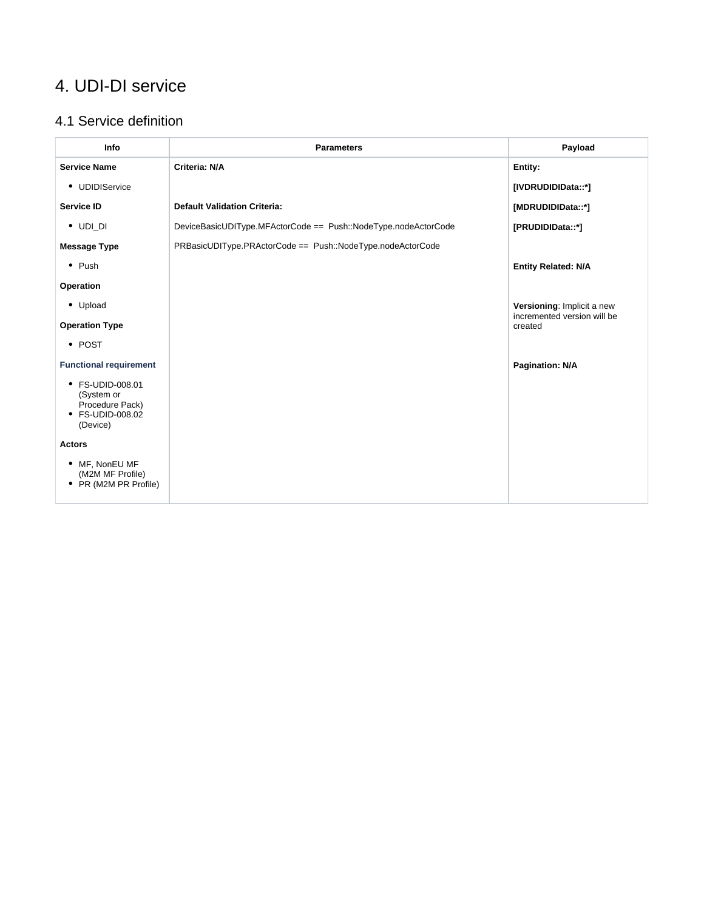## 4. UDI-DI service

### 4.1 Service definition

| Info                                                        | <b>Parameters</b>                                              | Payload                                                   |
|-------------------------------------------------------------|----------------------------------------------------------------|-----------------------------------------------------------|
| <b>Service Name</b>                                         | Criteria: N/A                                                  | Entity:                                                   |
| • UDIDIService                                              |                                                                | [IVDRUDIDIData::*]                                        |
| Service ID                                                  | <b>Default Validation Criteria:</b>                            | [MDRUDIDIData::*]                                         |
| $\bullet$ UDI_DI                                            | DeviceBasicUDIType.MFActorCode == Push::NodeType.nodeActorCode | [PRUDIDIData::*]                                          |
| <b>Message Type</b>                                         | PRBasicUDIType.PRActorCode == Push::NodeType.nodeActorCode     |                                                           |
| $\bullet$ Push                                              |                                                                | <b>Entity Related: N/A</b>                                |
| Operation                                                   |                                                                |                                                           |
| • Upload                                                    |                                                                | Versioning: Implicit a new<br>incremented version will be |
| <b>Operation Type</b>                                       |                                                                | created                                                   |
| • POST                                                      |                                                                |                                                           |
| <b>Functional requirement</b>                               |                                                                | Pagination: N/A                                           |
| • FS-UDID-008.01<br>(System or                              |                                                                |                                                           |
| Procedure Pack)<br>• FS-UDID-008.02<br>(Device)             |                                                                |                                                           |
| <b>Actors</b>                                               |                                                                |                                                           |
| • MF. NonEU MF<br>(M2M MF Profile)<br>• PR (M2M PR Profile) |                                                                |                                                           |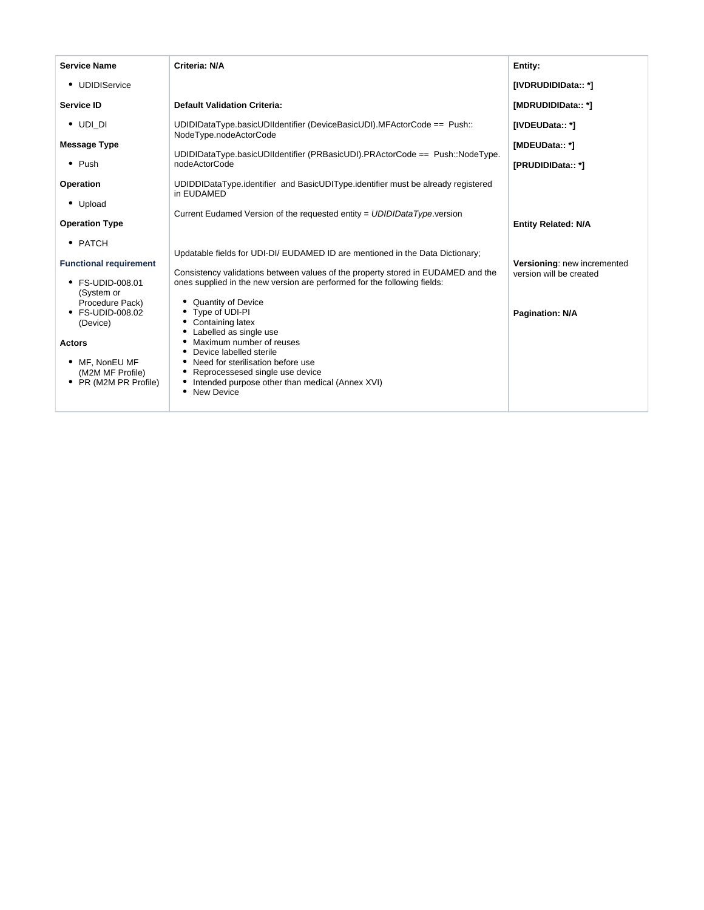| <b>Service Name</b>                       | Criteria: N/A                                                                                                                                                | Entity:                     |
|-------------------------------------------|--------------------------------------------------------------------------------------------------------------------------------------------------------------|-----------------------------|
| • UDIDIService                            |                                                                                                                                                              | [IVDRUDIDIData:: *]         |
| <b>Service ID</b>                         | <b>Default Validation Criteria:</b>                                                                                                                          | [MDRUDIDIData:: *]          |
| $\bullet$ UDI DI                          | UDIDIDataType.basicUDIIdentifier (DeviceBasicUDI).MFActorCode == Push::<br>NodeType.nodeActorCode                                                            | [IVDEUData:: *]             |
| <b>Message Type</b>                       |                                                                                                                                                              | [MDEUData:: *]              |
| $\bullet$ Push                            | UDIDIDataType.basicUDIIdentifier (PRBasicUDI).PRActorCode == Push::NodeType.<br>nodeActorCode                                                                | [PRUDIDIData:: *]           |
| Operation                                 | UDIDDIDataType.identifier and BasicUDIType.identifier must be already registered<br>in EUDAMED                                                               |                             |
| • Upload                                  | Current Eudamed Version of the requested entity = UDIDIDataType.version                                                                                      |                             |
| <b>Operation Type</b>                     |                                                                                                                                                              | <b>Entity Related: N/A</b>  |
| • PATCH                                   | Updatable fields for UDI-DI/ EUDAMED ID are mentioned in the Data Dictionary;                                                                                |                             |
| <b>Functional requirement</b>             |                                                                                                                                                              | Versioning: new incremented |
| • FS-UDID-008.01                          | Consistency validations between values of the property stored in EUDAMED and the<br>ones supplied in the new version are performed for the following fields: | version will be created     |
| (System or<br>Procedure Pack)             | • Quantity of Device                                                                                                                                         |                             |
| • FS-UDID-008.02                          | • Type of UDI-PI                                                                                                                                             | <b>Pagination: N/A</b>      |
| (Device)                                  | • Containing latex<br>• Labelled as single use                                                                                                               |                             |
| <b>Actors</b>                             | Maximum number of reuses<br>Device labelled sterile                                                                                                          |                             |
| • MF, NonEU MF                            | • Need for sterilisation before use                                                                                                                          |                             |
| (M2M MF Profile)<br>• PR (M2M PR Profile) | • Reprocessesed single use device<br>Intended purpose other than medical (Annex XVI)                                                                         |                             |
|                                           | • New Device                                                                                                                                                 |                             |
|                                           |                                                                                                                                                              |                             |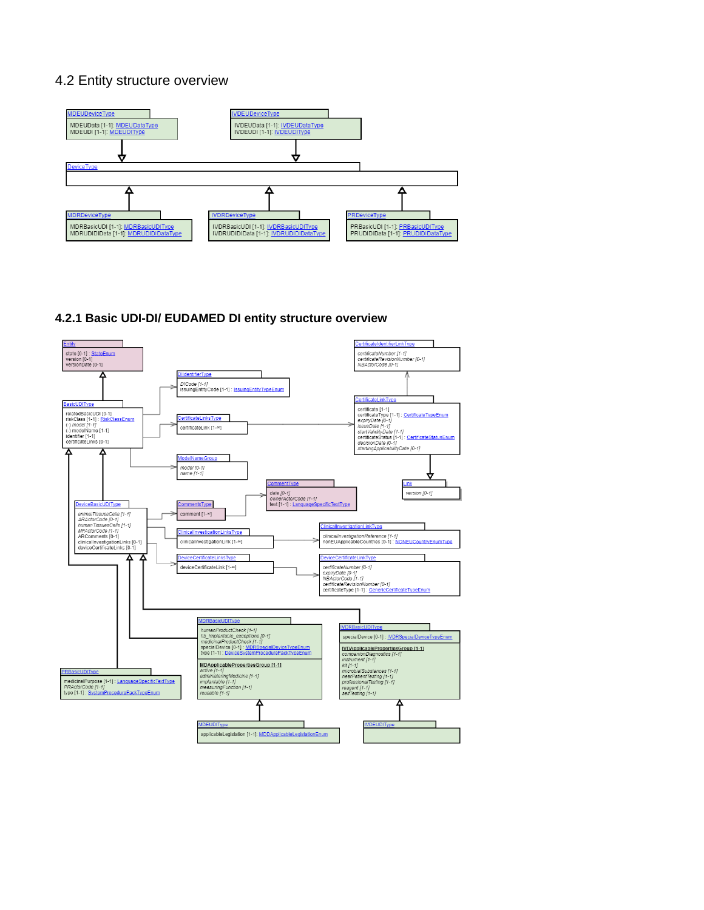#### 4.2 Entity structure overview



#### **4.2.1 Basic UDI-DI/ EUDAMED DI entity structure overview**

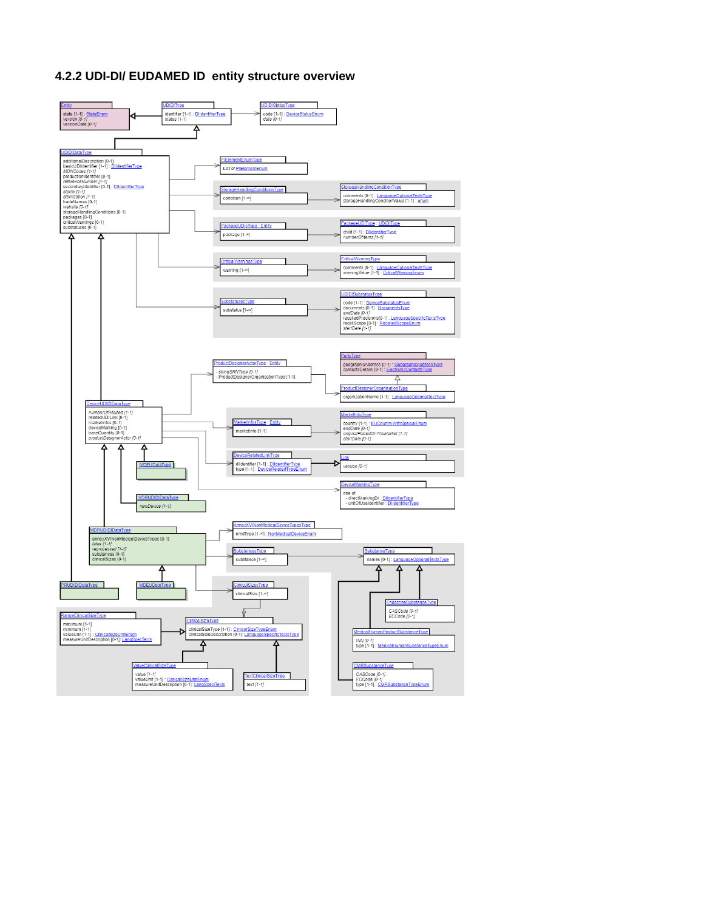#### **4.2.2 UDI-DI/ EUDAMED ID entity structure overview**